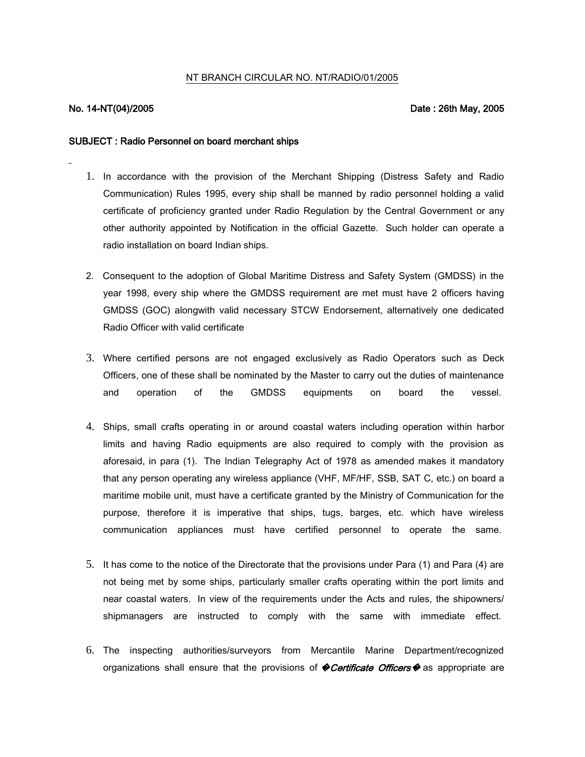## NT BRANCH CIRCULAR NO. NT/RADIO/01/2005

## No. 14-NT(04)/2005 Date : 26th May, 2005

## SUBJECT : Radio Personnel on board merchant ships

- 1. In accordance with the provision of the Merchant Shipping (Distress Safety and Radio Communication) Rules 1995, every ship shall be manned by radio personnel holding a valid certificate of proficiency granted under Radio Regulation by the Central Government or any other authority appointed by Notification in the official Gazette. Such holder can operate a radio installation on board Indian ships.
- 2. Consequent to the adoption of Global Maritime Distress and Safety System (GMDSS) in the year 1998, every ship where the GMDSS requirement are met must have 2 officers having GMDSS (GOC) alongwith valid necessary STCW Endorsement, alternatively one dedicated Radio Officer with valid certificate
- 3. Where certified persons are not engaged exclusively as Radio Operators such as Deck Officers, one of these shall be nominated by the Master to carry out the duties of maintenance and operation of the GMDSS equipments on board the vessel.
- 4. Ships, small crafts operating in or around coastal waters including operation within harbor limits and having Radio equipments are also required to comply with the provision as aforesaid, in para (1). The Indian Telegraphy Act of 1978 as amended makes it mandatory that any person operating any wireless appliance (VHF, MF/HF, SSB, SAT C, etc.) on board a maritime mobile unit, must have a certificate granted by the Ministry of Communication for the purpose, therefore it is imperative that ships, tugs, barges, etc. which have wireless communication appliances must have certified personnel to operate the same.
- 5. It has come to the notice of the Directorate that the provisions under Para (1) and Para (4) are not being met by some ships, particularly smaller crafts operating within the port limits and near coastal waters. In view of the requirements under the Acts and rules, the shipowners/ shipmanagers are instructed to comply with the same with immediate effect.
- 6. The inspecting authorities/surveyors from Mercantile Marine Department/recognized organizations shall ensure that the provisions of  $\blacklozenge$  **Certificate Officers**  $\blacklozenge$  as appropriate are